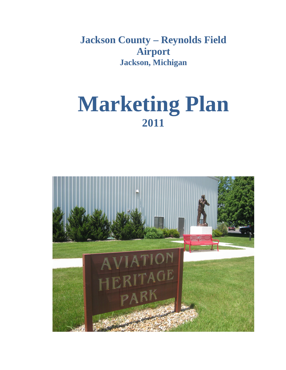**Jackson County – Reynolds Field Airport Jackson, Michigan**

# **Marketing Plan 2011**

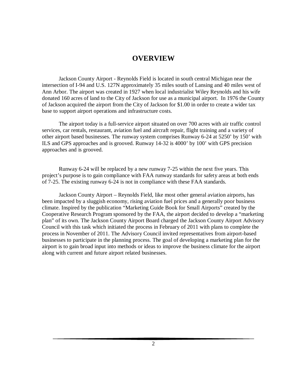# **OVERVIEW**

Jackson County Airport - Reynolds Field is located in south central Michigan near the intersection of I-94 and U.S. 127N approximately 35 miles south of Lansing and 40 miles west of Ann Arbor. The airport was created in 1927 when local industrialist Wiley Reynolds and his wife donated 160 acres of land to the City of Jackson for use as a municipal airport. In 1976 the County of Jackson acquired the airport from the City of Jackson for \$1.00 in order to create a wider tax base to support airport operations and infrastructure costs.

The airport today is a full-service airport situated on over 700 acres with air traffic control services, car rentals, restaurant, aviation fuel and aircraft repair, flight training and a variety of other airport based businesses. The runway system comprises Runway 6-24 at 5250' by 150' with ILS and GPS approaches and is grooved. Runway 14-32 is 4000' by 100' with GPS precision approaches and is grooved.

Runway 6-24 will be replaced by a new runway 7-25 within the next five years. This project's purpose is to gain compliance with FAA runway standards for safety areas at both ends of 7-25. The existing runway 6-24 is not in compliance with these FAA standards.

Jackson County Airport – Reynolds Field, like most other general aviation airports, has been impacted by a sluggish economy, rising aviation fuel prices and a generally poor business climate. Inspired by the publication "Marketing Guide Book for Small Airports" created by the Cooperative Research Program sponsored by the FAA, the airport decided to develop a "marketing plan" of its own. The Jackson County Airport Board charged the Jackson County Airport Advisory Council with this task which initiated the process in February of 2011 with plans to complete the process in November of 2011. The Advisory Council invited representatives from airport-based businesses to participate in the planning process. The goal of developing a marketing plan for the airport is to gain broad input into methods or ideas to improve the business climate for the airport along with current and future airport related businesses.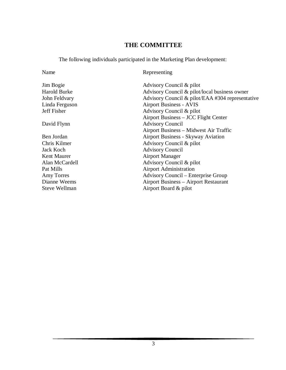# **THE COMMITTEE**

The following individuals participated in the Marketing Plan development:

Name Representing

| Jim Bogie           | Advisory Council & pilot                         |
|---------------------|--------------------------------------------------|
| <b>Harold Burke</b> | Advisory Council & pilot/local business owner    |
| John Feldvary       | Advisory Council & pilot/EAA #304 representative |
| Linda Ferguson      | <b>Airport Business - AVIS</b>                   |
| Jeff Fisher         | Advisory Council & pilot                         |
|                     | Airport Business – JCC Flight Center             |
| David Flynn         | <b>Advisory Council</b>                          |
|                     | Airport Business - Midwest Air Traffic           |
| Ben Jordan          | Airport Business - Skyway Aviation               |
| Chris Kilmer        | Advisory Council & pilot                         |
| <b>Jack Koch</b>    | <b>Advisory Council</b>                          |
| Kent Maurer         | <b>Airport Manager</b>                           |
| Alan McCardell      | Advisory Council & pilot                         |
| Pat Mills           | <b>Airport Administration</b>                    |
| Amy Torres          | <b>Advisory Council – Enterprise Group</b>       |
| Dianne Weems        | Airport Business – Airport Restaurant            |
| Steve Wellman       | Airport Board & pilot                            |
|                     |                                                  |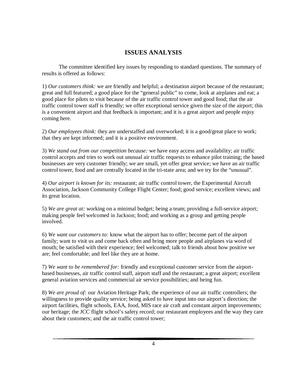## **ISSUES ANALYSIS**

The committee identified key issues by responding to standard questions. The summary of results is offered as follows:

1) *Our customers think:* we are friendly and helpful; a destination airport because of the restaurant; great and full featured; a good place for the "general public" to come, look at airplanes and eat; a good place for pilots to visit because of the air traffic control tower and good food; that the air traffic control tower staff is friendly; we offer exceptional service given the size of the airport; this is a convenient airport and that feedback is important; and it is a great airport and people enjoy coming here.

2) *Our employees think:* they are understaffed and overworked; it is a good/great place to work; that they are kept informed; and it is a positive environment.

3) *We stand out from our competition because:* we have easy access and availability; air traffic control accepts and tries to work out unusual air traffic requests to enhance pilot training; the based businesses are very customer friendly; we are small, yet offer great service; we have an air traffic control tower, food and are centrally located in the tri-state area; and we try for the "unusual".

4) *Our airport is known for its:* restaurant; air traffic control tower, the Experimental Aircraft Association, Jackson Community College Flight Center; food; good service; excellent views; and its great location.

5) *We are great at:* working on a minimal budget; being a team; providing a full-service airport; making people feel welcomed in Jackson; food; and working as a group and getting people involved.

6) *We want our customers to:* know what the airport has to offer; become part of the airport family; want to visit us and come back often and bring more people and airplanes via word of mouth; be satisfied with their experience; feel welcomed; talk to friends about how positive we are; feel comfortable; and feel like they are at home.

7) *We want to be remembered for:* friendly and exceptional customer service from the airportbased businesses, air traffic control staff, airport staff and the restaurant; a great airport; excellent general aviation services and commercial air service possibilities; and being fun.

8) *We are proud of:* our Aviation Heritage Park; the experience of our air traffic controllers; the willingness to provide quality service; being asked to have input into our airport's direction; the airport facilities, flight schools, EAA, food, MIS race air craft and constant airport improvements; our heritage; the JCC flight school's safety record; our restaurant employees and the way they care about their customers; and the air traffic control tower;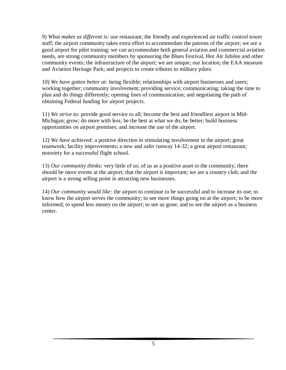9) *What makes us different is:* our restaurant; the friendly and experienced air traffic control tower staff; the airport community takes extra effort to accommodate the patrons of the airport; we are a good airport for pilot training; we can accommodate both general aviation and commercial aviation needs, are strong community members by sponsoring the Blues Festival, Hot Air Jubilee and other community events; the infrastructure of the airport; we are unique; our location; the EAA museum and Aviation Heritage Park; and projects to create tributes to military pilots.

10) *We have gotten better at:* being flexible; relationships with airport businesses and users; working together; community involvement; providing service; communicating; taking the time to plan and do things differently; opening lines of communication; and negotiating the path of obtaining Federal funding for airport projects.

11) *We strive to:* provide good service to all; become the best and friendliest airport in Mid-Michigan; grow; do more with less; be the best at what we do; be better; build business opportunities on airport premises; and increase the use of the airport.

12) *We have achieved:* a positive direction in stimulating involvement in the airport; great teamwork; facility improvements; a new and safer runway 14-32; a great airport restaurant; notoriety for a successful flight school.

13) *Our community thinks:* very little of us; of us as a positive asset to the community; there should be more events at the airport; that the airport is important; we are a country club; and the airport is a strong selling point in attracting new businesses.

14) *Our community would like:* the airport to continue to be successful and to increase its use; to know how the airport serves the community; to see more things going on at the airport; to be more informed; to spend less money on the airport; to see us gone; and to see the airport as a business center.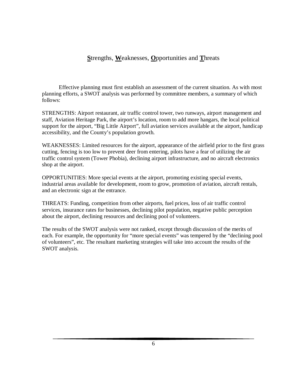### **S**trengths, **W**eaknesses, **O**pportunities and **T**hreats

Effective planning must first establish an assessment of the current situation. As with most planning efforts, a SWOT analysis was performed by committee members, a summary of which follows:

STRENGTHS: Airport restaurant, air traffic control tower, two runways, airport management and staff, Aviation Heritage Park, the airport's location, room to add more hangars, the local political support for the airport, "Big Little Airport", full aviation services available at the airport, handicap accessibility, and the County's population growth.

WEAKNESSES: Limited resources for the airport, appearance of the airfield prior to the first grass cutting, fencing is too low to prevent deer from entering, pilots have a fear of utilizing the air traffic control system (Tower Phobia), declining airport infrastructure, and no aircraft electronics shop at the airport.

OPPORTUNITIES: More special events at the airport, promoting existing special events, industrial areas available for development, room to grow, promotion of aviation, aircraft rentals, and an electronic sign at the entrance.

THREATS: Funding, competition from other airports, fuel prices, loss of air traffic control services, insurance rates for businesses, declining pilot population, negative public perception about the airport, declining resources and declining pool of volunteers.

The results of the SWOT analysis were not ranked, except through discussion of the merits of each. For example, the opportunity for "more special events" was tempered by the "declining pool of volunteers", etc. The resultant marketing strategies will take into account the results of the SWOT analysis.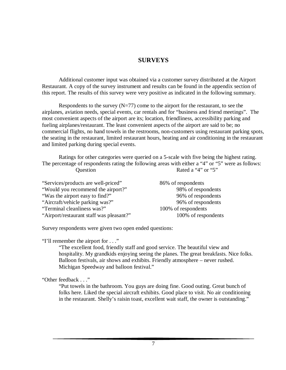#### **SURVEYS**

Additional customer input was obtained via a customer survey distributed at the Airport Restaurant. A copy of the survey instrument and results can be found in the appendix section of this report. The results of this survey were very positive as indicated in the following summary.

Respondents to the survey  $(N=77)$  come to the airport for the restaurant, to see the airplanes, aviation needs, special events, car rentals and for "business and friend meetings". The most convenient aspects of the airport are its; location, friendliness, accessibility parking and fueling airplanes/restaurant. The least convenient aspects of the airport are said to be; no commercial flights, no hand towels in the restrooms, non-customers using restaurant parking spots, the seating in the restaurant, limited restaurant hours, heating and air conditioning in the restaurant and limited parking during special events.

Ratings for other categories were queried on a 5-scale with five being the highest rating. The percentage of respondents rating the following areas with either a "4" or "5" were as follows: Question Rated a "4" or "5"

| "Services/products are well-priced"      | 86% of respondents  |
|------------------------------------------|---------------------|
| "Would you recommend the airport?"       | 98% of respondents  |
| "Was the airport easy to find?"          | 96% of respondents  |
| "Aircraft/vehicle parking was?"          | 96% of respondents  |
| "Terminal cleanliness was?"              | 100% of respondents |
| "Airport/restaurant staff was pleasant?" | 100% of respondents |

Survey respondents were given two open ended questions:

"I'll remember the airport for . . ."

"The excellent food, friendly staff and good service. The beautiful view and hospitality. My grandkids enjoying seeing the planes. The great breakfasts. Nice folks. Balloon festivals, air shows and exhibits. Friendly atmosphere – never rushed. Michigan Speedway and balloon festival."

"Other feedback . . ."

"Put towels in the bathroom. You guys are doing fine. Good outing. Great bunch of folks here. Liked the special aircraft exhibits. Good place to visit. No air conditioning in the restaurant. Shelly's raisin toast, excellent wait staff, the owner is outstanding."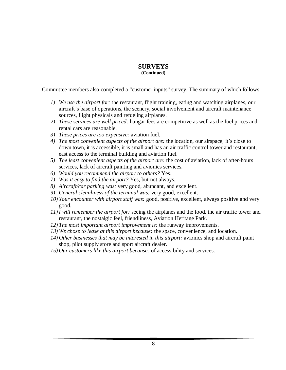#### **SURVEYS (Continued)**

Committee members also completed a "customer inputs" survey. The summary of which follows:

- *1) We use the airport for:* the restaurant, flight training, eating and watching airplanes, our aircraft's base of operations, the scenery, social involvement and aircraft maintenance sources, flight physicals and refueling airplanes.
- *2) These services are well priced:* hangar fees are competitive as well as the fuel prices and rental cars are reasonable.
- *3) These prices are too expensive:* aviation fuel.
- *4) The most convenient aspects of the airport are:* the location, our airspace, it's close to down town, it is accessible, it is small and has an air traffic control tower and restaurant, east access to the terminal building and aviation fuel.
- *5) The least convenient aspects of the airport are:* the cost of aviation, lack of after-hours services, lack of aircraft painting and avionics services.
- *6) Would you recommend the airport to others?* Yes.
- *7) Was it easy to find the airport?* Yes, but not always.
- *8) Aircraft/car parking was:* very good, abundant, and excellent.
- *9) General cleanliness of the terminal was:* very good, excellent.
- *10) Your encounter with airport staff was:* good, positive, excellent, always positive and very good.
- *11) I will remember the airport for:* seeing the airplanes and the food, the air traffic tower and restaurant, the nostalgic feel, friendliness, Aviation Heritage Park.
- *12) The most important airport improvement is:* the runway improvements.
- *13) We chose to lease at this airport because:* the space, convenience, and location.
- *14) Other businesses that may be interested in this airport:* avionics shop and aircraft paint shop, pilot supply store and sport aircraft dealer.
- *15) Our customers like this airport because:* of accessibility and services.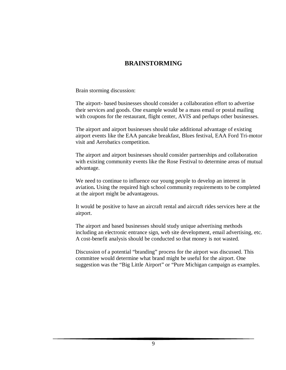## **BRAINSTORMING**

Brain storming discussion:

The airport- based businesses should consider a collaboration effort to advertise their services and goods. One example would be a mass email or postal mailing with coupons for the restaurant, flight center, AVIS and perhaps other businesses.

The airport and airport businesses should take additional advantage of existing airport events like the EAA pancake breakfast, Blues festival, EAA Ford Tri-motor visit and Aerobatics competition.

The airport and airport businesses should consider partnerships and collaboration with existing community events like the Rose Festival to determine areas of mutual advantage.

We need to continue to influence our young people to develop an interest in aviation**.** Using the required high school community requirements to be completed at the airport might be advantageous.

It would be positive to have an aircraft rental and aircraft rides services here at the airport.

The airport and based businesses should study unique advertising methods including an electronic entrance sign, web site development, email advertising, etc. A cost-benefit analysis should be conducted so that money is not wasted.

Discussion of a potential "branding" process for the airport was discussed. This committee would determine what brand might be useful for the airport. One suggestion was the "Big Little Airport" or "Pure Michigan campaign as examples.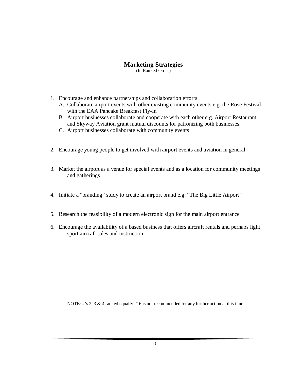#### **Marketing Strategies**

(In Ranked Order)

- 1. Encourage and enhance partnerships and collaboration efforts
	- A. Collaborate airport events with other existing community events e.g. the Rose Festival with the EAA Pancake Breakfast Fly-In
	- B. Airport businesses collaborate and cooperate with each other e.g. Airport Restaurant and Skyway Aviation grant mutual discounts for patronizing both businesses
	- C. Airport businesses collaborate with community events
- 2. Encourage young people to get involved with airport events and aviation in general
- 3. Market the airport as a venue for special events and as a location for community meetings and gatherings
- 4. Initiate a "branding" study to create an airport brand e.g. "The Big Little Airport"
- 5. Research the feasibility of a modern electronic sign for the main airport entrance
- 6. Encourage the availability of a based business that offers aircraft rentals and perhaps light sport aircraft sales and instruction

NOTE: #'s 2, 3  $\&$  4 ranked equally. # 6 is not recommended for any further action at this time